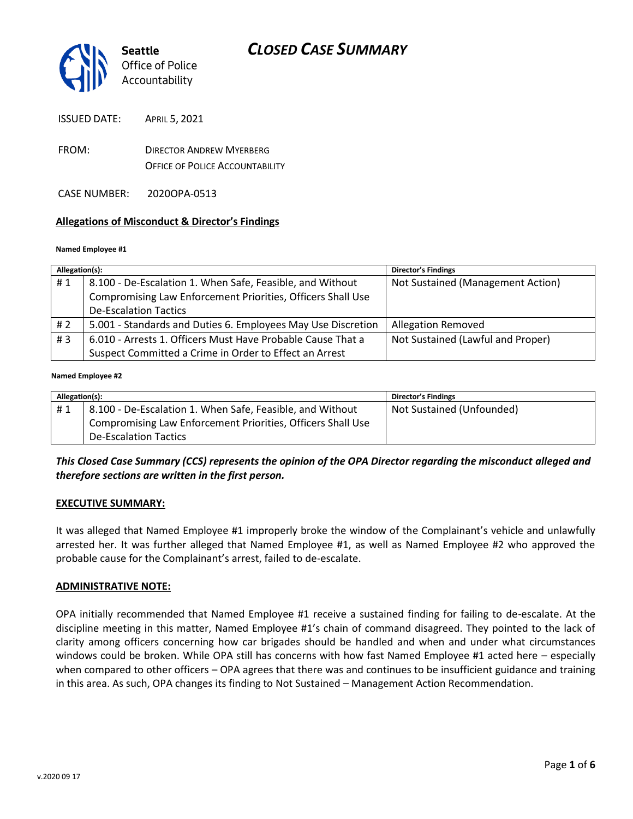

ISSUED DATE: APRIL 5, 2021

FROM: DIRECTOR ANDREW MYERBERG OFFICE OF POLICE ACCOUNTABILITY

CASE NUMBER: 2020OPA-0513

### **Allegations of Misconduct & Director's Findings**

#### **Named Employee #1**

| Allegation(s): |                                                              | <b>Director's Findings</b>        |
|----------------|--------------------------------------------------------------|-----------------------------------|
| #1             | 8.100 - De-Escalation 1. When Safe, Feasible, and Without    | Not Sustained (Management Action) |
|                | Compromising Law Enforcement Priorities, Officers Shall Use  |                                   |
|                | <b>De-Escalation Tactics</b>                                 |                                   |
| #2             | 5.001 - Standards and Duties 6. Employees May Use Discretion | <b>Allegation Removed</b>         |
| # $3$          | 6.010 - Arrests 1. Officers Must Have Probable Cause That a  | Not Sustained (Lawful and Proper) |
|                | Suspect Committed a Crime in Order to Effect an Arrest       |                                   |
|                |                                                              |                                   |

#### **Named Employee #2**

| Allegation(s): |                                                             | <b>Director's Findings</b> |
|----------------|-------------------------------------------------------------|----------------------------|
| #1             | 8.100 - De-Escalation 1. When Safe, Feasible, and Without   | Not Sustained (Unfounded)  |
|                | Compromising Law Enforcement Priorities, Officers Shall Use |                            |
|                | <b>De-Escalation Tactics</b>                                |                            |

*This Closed Case Summary (CCS) represents the opinion of the OPA Director regarding the misconduct alleged and therefore sections are written in the first person.* 

#### **EXECUTIVE SUMMARY:**

It was alleged that Named Employee #1 improperly broke the window of the Complainant's vehicle and unlawfully arrested her. It was further alleged that Named Employee #1, as well as Named Employee #2 who approved the probable cause for the Complainant's arrest, failed to de-escalate.

#### **ADMINISTRATIVE NOTE:**

OPA initially recommended that Named Employee #1 receive a sustained finding for failing to de-escalate. At the discipline meeting in this matter, Named Employee #1's chain of command disagreed. They pointed to the lack of clarity among officers concerning how car brigades should be handled and when and under what circumstances windows could be broken. While OPA still has concerns with how fast Named Employee #1 acted here – especially when compared to other officers – OPA agrees that there was and continues to be insufficient guidance and training in this area. As such, OPA changes its finding to Not Sustained – Management Action Recommendation.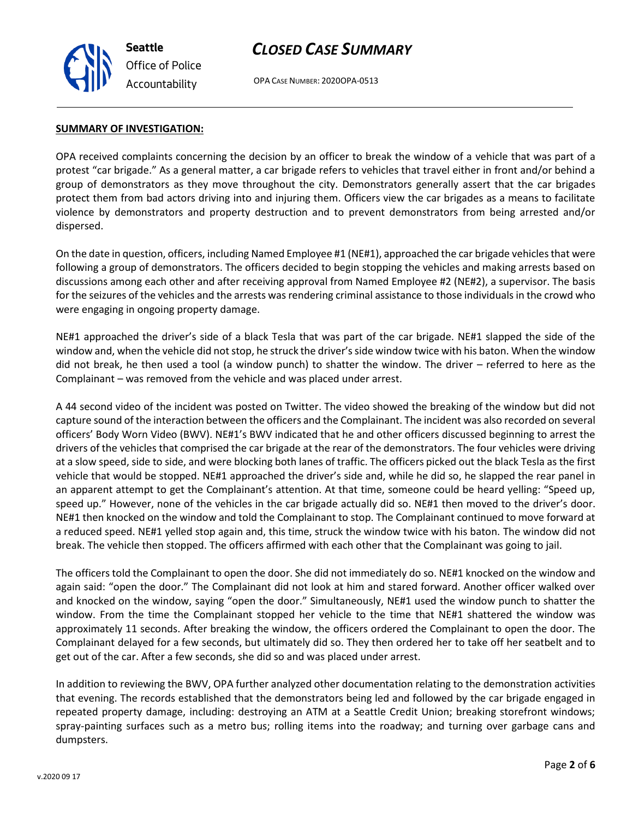

# *CLOSED CASE SUMMARY*

OPA CASE NUMBER: 2020OPA-0513

#### **SUMMARY OF INVESTIGATION:**

OPA received complaints concerning the decision by an officer to break the window of a vehicle that was part of a protest "car brigade." As a general matter, a car brigade refers to vehicles that travel either in front and/or behind a group of demonstrators as they move throughout the city. Demonstrators generally assert that the car brigades protect them from bad actors driving into and injuring them. Officers view the car brigades as a means to facilitate violence by demonstrators and property destruction and to prevent demonstrators from being arrested and/or dispersed.

On the date in question, officers, including Named Employee #1 (NE#1), approached the car brigade vehicles that were following a group of demonstrators. The officers decided to begin stopping the vehicles and making arrests based on discussions among each other and after receiving approval from Named Employee #2 (NE#2), a supervisor. The basis for the seizures of the vehicles and the arrests was rendering criminal assistance to those individuals in the crowd who were engaging in ongoing property damage.

NE#1 approached the driver's side of a black Tesla that was part of the car brigade. NE#1 slapped the side of the window and, when the vehicle did not stop, he struck the driver's side window twice with his baton. When the window did not break, he then used a tool (a window punch) to shatter the window. The driver – referred to here as the Complainant – was removed from the vehicle and was placed under arrest.

A 44 second video of the incident was posted on Twitter. The video showed the breaking of the window but did not capture sound of the interaction between the officers and the Complainant. The incident was also recorded on several officers' Body Worn Video (BWV). NE#1's BWV indicated that he and other officers discussed beginning to arrest the drivers of the vehicles that comprised the car brigade at the rear of the demonstrators. The four vehicles were driving at a slow speed, side to side, and were blocking both lanes of traffic. The officers picked out the black Tesla as the first vehicle that would be stopped. NE#1 approached the driver's side and, while he did so, he slapped the rear panel in an apparent attempt to get the Complainant's attention. At that time, someone could be heard yelling: "Speed up, speed up." However, none of the vehicles in the car brigade actually did so. NE#1 then moved to the driver's door. NE#1 then knocked on the window and told the Complainant to stop. The Complainant continued to move forward at a reduced speed. NE#1 yelled stop again and, this time, struck the window twice with his baton. The window did not break. The vehicle then stopped. The officers affirmed with each other that the Complainant was going to jail.

The officers told the Complainant to open the door. She did not immediately do so. NE#1 knocked on the window and again said: "open the door." The Complainant did not look at him and stared forward. Another officer walked over and knocked on the window, saying "open the door." Simultaneously, NE#1 used the window punch to shatter the window. From the time the Complainant stopped her vehicle to the time that NE#1 shattered the window was approximately 11 seconds. After breaking the window, the officers ordered the Complainant to open the door. The Complainant delayed for a few seconds, but ultimately did so. They then ordered her to take off her seatbelt and to get out of the car. After a few seconds, she did so and was placed under arrest.

In addition to reviewing the BWV, OPA further analyzed other documentation relating to the demonstration activities that evening. The records established that the demonstrators being led and followed by the car brigade engaged in repeated property damage, including: destroying an ATM at a Seattle Credit Union; breaking storefront windows; spray-painting surfaces such as a metro bus; rolling items into the roadway; and turning over garbage cans and dumpsters.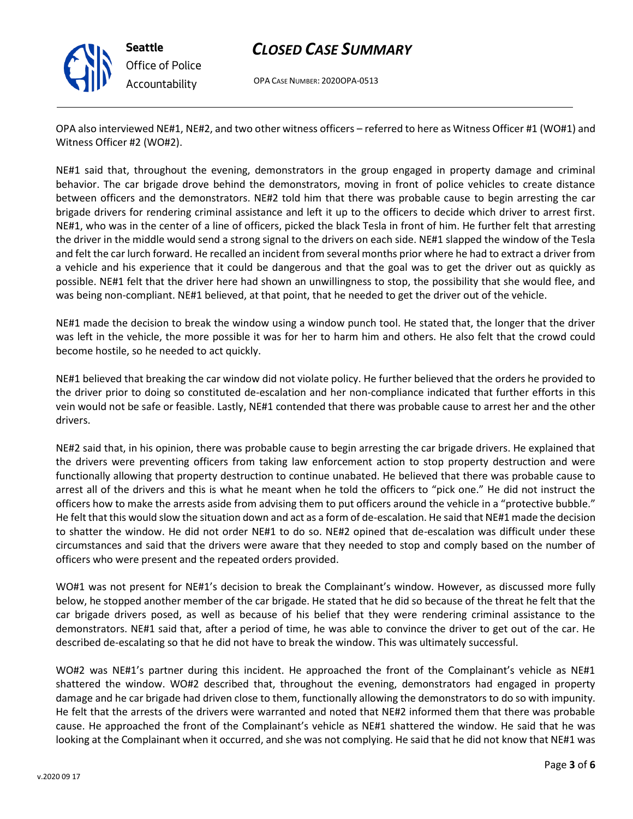

# *CLOSED CASE SUMMARY*

OPA CASE NUMBER: 2020OPA-0513

OPA also interviewed NE#1, NE#2, and two other witness officers – referred to here as Witness Officer #1 (WO#1) and Witness Officer #2 (WO#2).

NE#1 said that, throughout the evening, demonstrators in the group engaged in property damage and criminal behavior. The car brigade drove behind the demonstrators, moving in front of police vehicles to create distance between officers and the demonstrators. NE#2 told him that there was probable cause to begin arresting the car brigade drivers for rendering criminal assistance and left it up to the officers to decide which driver to arrest first. NE#1, who was in the center of a line of officers, picked the black Tesla in front of him. He further felt that arresting the driver in the middle would send a strong signal to the drivers on each side. NE#1 slapped the window of the Tesla and felt the car lurch forward. He recalled an incident from several months prior where he had to extract a driver from a vehicle and his experience that it could be dangerous and that the goal was to get the driver out as quickly as possible. NE#1 felt that the driver here had shown an unwillingness to stop, the possibility that she would flee, and was being non-compliant. NE#1 believed, at that point, that he needed to get the driver out of the vehicle.

NE#1 made the decision to break the window using a window punch tool. He stated that, the longer that the driver was left in the vehicle, the more possible it was for her to harm him and others. He also felt that the crowd could become hostile, so he needed to act quickly.

NE#1 believed that breaking the car window did not violate policy. He further believed that the orders he provided to the driver prior to doing so constituted de-escalation and her non-compliance indicated that further efforts in this vein would not be safe or feasible. Lastly, NE#1 contended that there was probable cause to arrest her and the other drivers.

NE#2 said that, in his opinion, there was probable cause to begin arresting the car brigade drivers. He explained that the drivers were preventing officers from taking law enforcement action to stop property destruction and were functionally allowing that property destruction to continue unabated. He believed that there was probable cause to arrest all of the drivers and this is what he meant when he told the officers to "pick one." He did not instruct the officers how to make the arrests aside from advising them to put officers around the vehicle in a "protective bubble." He felt that this would slow the situation down and act as a form of de-escalation. He said that NE#1 made the decision to shatter the window. He did not order NE#1 to do so. NE#2 opined that de-escalation was difficult under these circumstances and said that the drivers were aware that they needed to stop and comply based on the number of officers who were present and the repeated orders provided.

WO#1 was not present for NE#1's decision to break the Complainant's window. However, as discussed more fully below, he stopped another member of the car brigade. He stated that he did so because of the threat he felt that the car brigade drivers posed, as well as because of his belief that they were rendering criminal assistance to the demonstrators. NE#1 said that, after a period of time, he was able to convince the driver to get out of the car. He described de-escalating so that he did not have to break the window. This was ultimately successful.

WO#2 was NE#1's partner during this incident. He approached the front of the Complainant's vehicle as NE#1 shattered the window. WO#2 described that, throughout the evening, demonstrators had engaged in property damage and he car brigade had driven close to them, functionally allowing the demonstrators to do so with impunity. He felt that the arrests of the drivers were warranted and noted that NE#2 informed them that there was probable cause. He approached the front of the Complainant's vehicle as NE#1 shattered the window. He said that he was looking at the Complainant when it occurred, and she was not complying. He said that he did not know that NE#1 was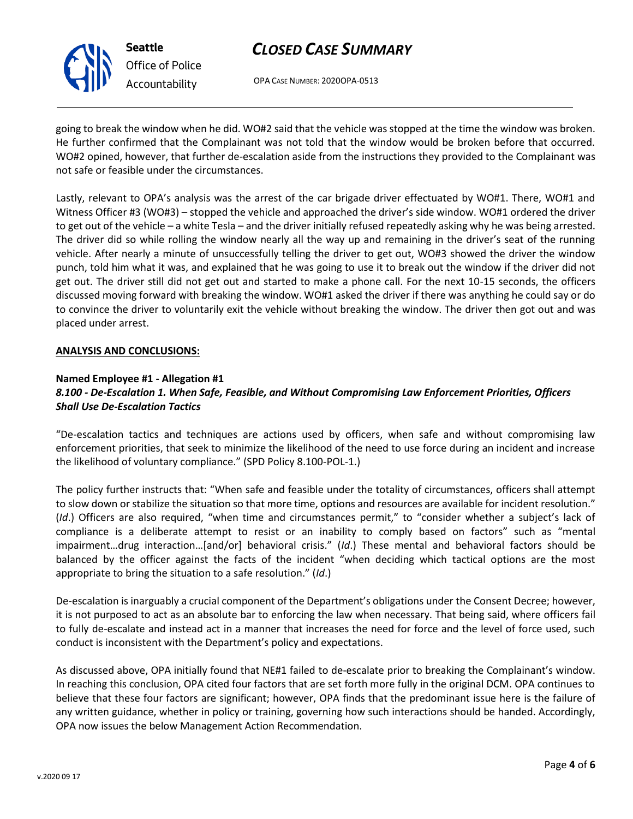

# *CLOSED CASE SUMMARY*

OPA CASE NUMBER: 2020OPA-0513

going to break the window when he did. WO#2 said that the vehicle was stopped at the time the window was broken. He further confirmed that the Complainant was not told that the window would be broken before that occurred. WO#2 opined, however, that further de-escalation aside from the instructions they provided to the Complainant was not safe or feasible under the circumstances.

Lastly, relevant to OPA's analysis was the arrest of the car brigade driver effectuated by WO#1. There, WO#1 and Witness Officer #3 (WO#3) – stopped the vehicle and approached the driver's side window. WO#1 ordered the driver to get out of the vehicle – a white Tesla – and the driver initially refused repeatedly asking why he was being arrested. The driver did so while rolling the window nearly all the way up and remaining in the driver's seat of the running vehicle. After nearly a minute of unsuccessfully telling the driver to get out, WO#3 showed the driver the window punch, told him what it was, and explained that he was going to use it to break out the window if the driver did not get out. The driver still did not get out and started to make a phone call. For the next 10-15 seconds, the officers discussed moving forward with breaking the window. WO#1 asked the driver if there was anything he could say or do to convince the driver to voluntarily exit the vehicle without breaking the window. The driver then got out and was placed under arrest.

### **ANALYSIS AND CONCLUSIONS:**

# **Named Employee #1 - Allegation #1** *8.100 - De-Escalation 1. When Safe, Feasible, and Without Compromising Law Enforcement Priorities, Officers Shall Use De-Escalation Tactics*

"De-escalation tactics and techniques are actions used by officers, when safe and without compromising law enforcement priorities, that seek to minimize the likelihood of the need to use force during an incident and increase the likelihood of voluntary compliance." (SPD Policy 8.100-POL-1.)

The policy further instructs that: "When safe and feasible under the totality of circumstances, officers shall attempt to slow down or stabilize the situation so that more time, options and resources are available for incident resolution." (*Id*.) Officers are also required, "when time and circumstances permit," to "consider whether a subject's lack of compliance is a deliberate attempt to resist or an inability to comply based on factors" such as "mental impairment…drug interaction…[and/or] behavioral crisis." (*Id*.) These mental and behavioral factors should be balanced by the officer against the facts of the incident "when deciding which tactical options are the most appropriate to bring the situation to a safe resolution." (*Id*.)

De-escalation is inarguably a crucial component of the Department's obligations under the Consent Decree; however, it is not purposed to act as an absolute bar to enforcing the law when necessary. That being said, where officers fail to fully de-escalate and instead act in a manner that increases the need for force and the level of force used, such conduct is inconsistent with the Department's policy and expectations.

As discussed above, OPA initially found that NE#1 failed to de-escalate prior to breaking the Complainant's window. In reaching this conclusion, OPA cited four factors that are set forth more fully in the original DCM. OPA continues to believe that these four factors are significant; however, OPA finds that the predominant issue here is the failure of any written guidance, whether in policy or training, governing how such interactions should be handed. Accordingly, OPA now issues the below Management Action Recommendation.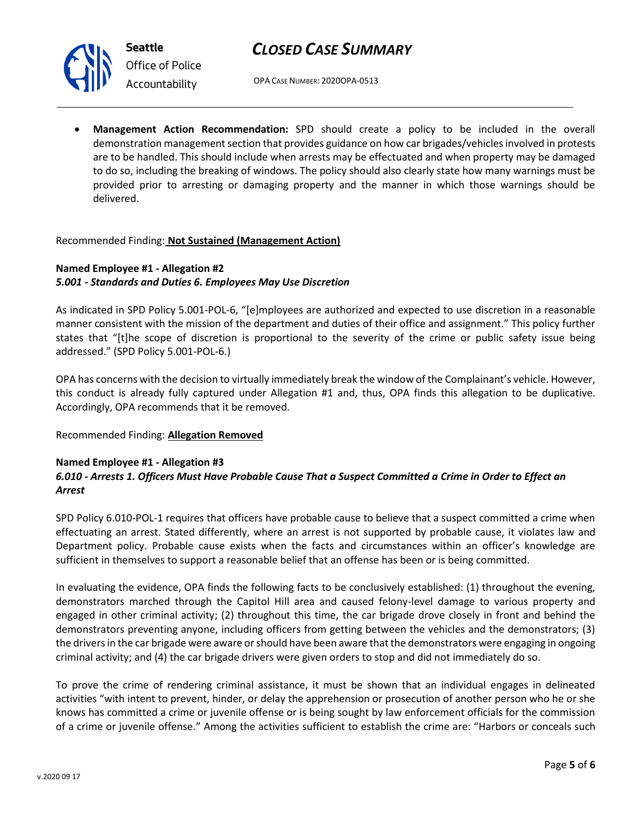

**Seattle** *Office of Police Accountability*

OPA CASE NUMBER: 2020OPA-0513

• **Management Action Recommendation:** SPD should create a policy to be included in the overall demonstration management section that provides guidance on how car brigades/vehicles involved in protests are to be handled. This should include when arrests may be effectuated and when property may be damaged to do so, including the breaking of windows. The policy should also clearly state how many warnings must be provided prior to arresting or damaging property and the manner in which those warnings should be delivered.

# Recommended Finding: **Not Sustained (Management Action)**

# **Named Employee #1 - Allegation #2** *5.001 - Standards and Duties 6. Employees May Use Discretion*

As indicated in SPD Policy 5.001-POL-6, "[e]mployees are authorized and expected to use discretion in a reasonable manner consistent with the mission of the department and duties of their office and assignment." This policy further states that "[t]he scope of discretion is proportional to the severity of the crime or public safety issue being addressed." (SPD Policy 5.001-POL-6.)

OPA has concerns with the decision to virtually immediately break the window of the Complainant's vehicle. However, this conduct is already fully captured under Allegation #1 and, thus, OPA finds this allegation to be duplicative. Accordingly, OPA recommends that it be removed.

# Recommended Finding: **Allegation Removed**

### **Named Employee #1 - Allegation #3** *6.010 - Arrests 1. Officers Must Have Probable Cause That a Suspect Committed a Crime in Order to Effect an Arrest*

SPD Policy 6.010-POL-1 requires that officers have probable cause to believe that a suspect committed a crime when effectuating an arrest. Stated differently, where an arrest is not supported by probable cause, it violates law and Department policy. Probable cause exists when the facts and circumstances within an officer's knowledge are sufficient in themselves to support a reasonable belief that an offense has been or is being committed.

In evaluating the evidence, OPA finds the following facts to be conclusively established: (1) throughout the evening, demonstrators marched through the Capitol Hill area and caused felony-level damage to various property and engaged in other criminal activity; (2) throughout this time, the car brigade drove closely in front and behind the demonstrators preventing anyone, including officers from getting between the vehicles and the demonstrators; (3) the drivers in the car brigade were aware or should have been aware that the demonstrators were engaging in ongoing criminal activity; and (4) the car brigade drivers were given orders to stop and did not immediately do so.

To prove the crime of rendering criminal assistance, it must be shown that an individual engages in delineated activities "with intent to prevent, hinder, or delay the apprehension or prosecution of another person who he or she knows has committed a crime or juvenile offense or is being sought by law enforcement officials for the commission of a crime or juvenile offense." Among the activities sufficient to establish the crime are: "Harbors or conceals such